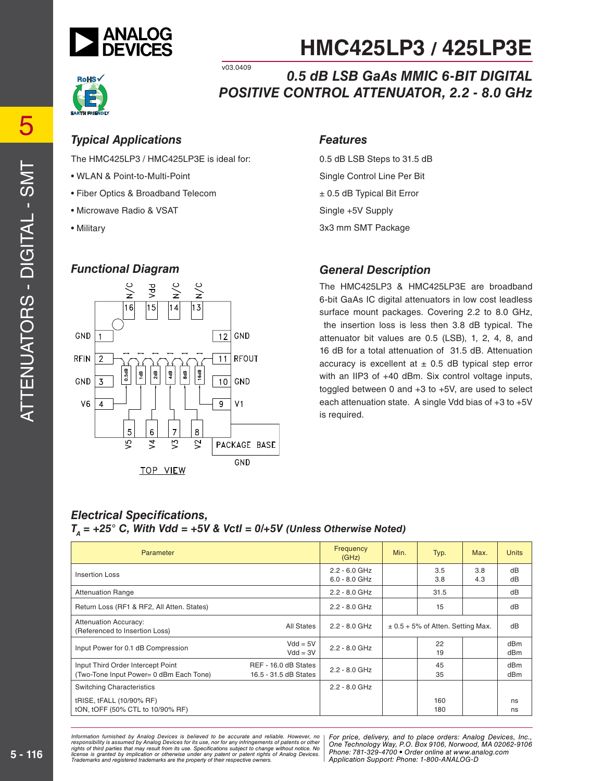



v03.0409

*0.5 dB LSB GaAs MMIC 6-BIT DIGITAL POSITIVE CONTROL ATTENUATOR, 2.2 - 8.0 GHz*

#### *Typical Applications Features*

The HMC425LP3 / HMC425LP3E is ideal for:

- WLAN & Point-to-Multi-Point
- Fiber Optics & Broadband Telecom
- Microwave Radio & VSAT
- Military

#### *Functional Diagram*



0.5 dB LSB Steps to 31.5 dB Single Control Line Per Bit ± 0.5 dB Typical Bit Error Single +5V Supply 3x3 mm SMT Package

#### *General Description*

The HMC425LP3 & HMC425LP3E are broadband 6-bit GaAs IC digital attenuators in low cost leadless surface mount packages. Covering 2.2 to 8.0 GHz, the insertion loss is less then 3.8 dB typical. The attenuator bit values are 0.5 (LSB), 1, 2, 4, 8, and 16 dB for a total attenuation of 31.5 dB. Attenuation accuracy is excellent at  $\pm$  0.5 dB typical step error with an IIP3 of +40 dBm. Six control voltage inputs, toggled between 0 and +3 to +5V, are used to select each attenuation state. A single Vdd bias of +3 to +5V is required.

#### *Electrical Specifications,*  $T_a$  = +25° C, With Vdd = +5V & Vctl = 0/+5V (Unless Otherwise Noted)

| Parameter                                                                    |                                               | Frequency<br>(GHz)                 | Min.                                  | Typ.       | Max.       | <b>Units</b> |
|------------------------------------------------------------------------------|-----------------------------------------------|------------------------------------|---------------------------------------|------------|------------|--------------|
| Insertion Loss                                                               |                                               | $2.2 - 6.0$ GHz<br>$6.0 - 8.0$ GHz |                                       | 3.5<br>3.8 | 3.8<br>4.3 | dB<br>dB     |
| <b>Attenuation Range</b>                                                     |                                               | $2.2 - 8.0$ GHz                    |                                       | 31.5       |            | dB           |
| Return Loss (RF1 & RF2, All Atten. States)                                   |                                               | $2.2 - 8.0$ GHz                    |                                       | 15         |            | dB           |
| <b>Attenuation Accuracy:</b><br>(Referenced to Insertion Loss)               | All States                                    | $2.2 - 8.0$ GHz                    | $\pm$ 0.5 + 5% of Atten. Setting Max. |            | dB         |              |
| Input Power for 0.1 dB Compression                                           | $Vdd = 5V$<br>$Vdd = 3V$                      | $2.2 - 8.0$ GHz                    |                                       | 22<br>19   |            | dBm<br>dBm   |
| Input Third Order Intercept Point<br>(Two-Tone Input Power= 0 dBm Each Tone) | REF - 16.0 dB States<br>16.5 - 31.5 dB States | $2.2 - 8.0$ GHz                    |                                       | 45<br>35   |            | dBm<br>dBm   |
| <b>Switching Characteristics</b>                                             |                                               | $2.2 - 8.0$ GHz                    |                                       |            |            |              |
| tRISE, tFALL (10/90% RF)<br>tON, tOFF (50% CTL to 10/90% RF)                 |                                               |                                    |                                       | 160<br>180 |            | ns<br>ns     |

ed by Analog Devices is believed to be accurate and reliable. However, no [For price, delivery, and to place orders: Analog<br>umed by Analog Devices for its use nor for any infringements of patents or other [One Technologu W at may result from its use. Specifications subject to change without notice. No<br>polication or otherwise under any patent or patent rights of Analog Devices Phone: 781-329-4700 • Order online at www.a spective owners.  $\blacksquare$  Application S *Information furnished by Analog Devices is believed to be accurate and reliable. However, no*  responsibility is assumed by Analog Devices for its use, nor for any infringements of patents or other<br>rights of third parties that may result from its use. Specifications subject to change without notice. No<br>license is gr

*For price, delivery, and to place orders: Analog Devices, Inc., One Technology Way, P.O. Box 9106, Norwood, MA 02062-9106 Phone: 781-329-4700 • Order online at www.analog.com Application Support: Phone: 1-800-ANALOG-D*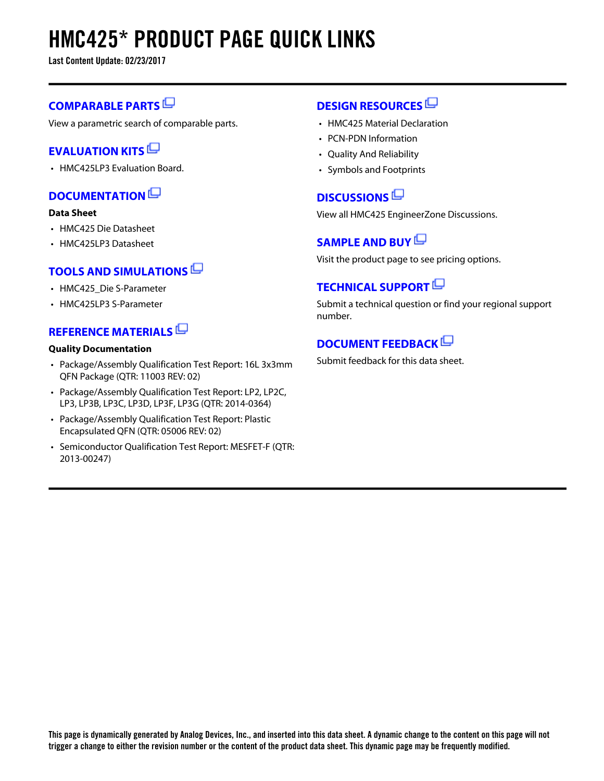# **HMC425\* PRODUCT PAGE QUICK LINKS**

**Last Content Update: 02/23/2017**

#### **[COMPARABLE PARTS](http://www.analog.com/parametricsearch/en/10685?doc=HMC425.pdf&p0=1&lsrc=pst)**

View a parametric search of comparable parts.

#### **[EVALUATION KITS](http://www.analog.com/hmc425/evalkits?doc=HMC425.pdf&p0=1&lsrc=ek)**

• HMC425LP3 Evaluation Board.

#### **[DOCUMENTATION](http://www.analog.com/hmc425/documentation?doc=HMC425.pdf&p0=1&lsrc=doc)**

#### **Data Sheet**

- HMC425 Die Datasheet
- HMC425LP3 Datasheet

#### **[TOOLS AND SIMULATIONS](http://www.analog.com/hmc425/tools?doc=HMC425.pdf&p0=1&lsrc=tools)**

- HMC425 Die S-Parameter
- HMC425LP3 S-Parameter

#### **[REFERENCE MATERIALS](http://www.analog.com/hmc425/referencematerials?doc=HMC425.pdf&p0=1&lsrc=rm)**

#### **Quality Documentation**

- Package/Assembly Qualification Test Report: 16L 3x3mm QFN Package (QTR: 11003 REV: 02)
- Package/Assembly Qualification Test Report: LP2, LP2C, LP3, LP3B, LP3C, LP3D, LP3F, LP3G (QTR: 2014-0364)
- Package/Assembly Qualification Test Report: Plastic Encapsulated QFN (QTR: 05006 REV: 02)
- Semiconductor Qualification Test Report: MESFET-F (QTR: 2013-00247)

#### **[DESIGN RESOURCES](http://www.analog.com/hmc425/designsources?doc=HMC425.pdf&p0=1&lsrc=dr)**

- HMC425 Material Declaration
- PCN-PDN Information
- Quality And Reliability
- Symbols and Footprints

### **[DISCUSSIONS](http://www.analog.com/hmc425/discussions?doc=HMC425.pdf&p0=1&lsrc=disc)**

View all HMC425 EngineerZone Discussions.

#### **[SAMPLE AND BUY](http://www.analog.com/hmc425/sampleandbuy?doc=HMC425.pdf&p0=1&lsrc=sb)**

Visit the product page to see pricing options.

#### **[TECHNICAL SUPPORT](http://www.analog.com/support/technical-support.html?doc=HMC425.pdf&p0=1&lsrc=techs)**

Submit a technical question or find your regional support number.

### **[DOCUMENT FEEDBACK](https://form.analog.com/Form_Pages/feedback/documentfeedback.aspx?doc=HMC425.pdf&product=HMC425&p0=1&lsrc=dfs)**

Submit feedback for this data sheet.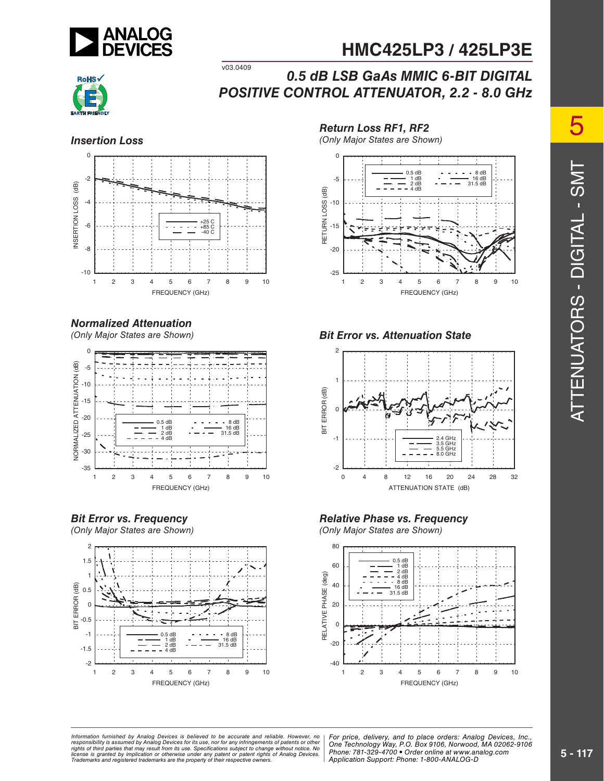



#### v03.0409 *0.5 dB LSB GaAs MMIC 6-BIT DIGITAL POSITIVE CONTROL ATTENUATOR, 2.2 - 8.0 GHz*



#### *Normalized Attenuation*

(Only Major States are Shown)







*Return Loss RF1, RF2*

(Only Major States are Shown) *Insertion Loss*



#### *Bit Error vs. Attenuation State*



#### *Relative Phase vs. Frequency*

(Only Major States are Shown)



5 ATTENUATORS - DIGITAL - SMT ATTENUATORS - DIGITAL - SMT

at may result from its use. Specifications subject to change without notice. No<br>polication or otherwise under any patent or patent rights of Analog Devices Phone: 781-329-4700 • Order online at www.a spective owners.  $\blacksquare$  Application S *Information furnished by Analog Devices is believed to be accurate and reliable. However, no*  responsibility is assumed by Analog Devices for its use, nor for any infringements of patents or other<br>rights of third parties that may result from its use. Specifications subject to change without notice. No<br>license is gr

ed by Analog Devices is believed to be accurate and reliable. However, no | For price, delivery, and to place orders: Analog Devices, Inc.,<br>umed by Analog Devices for its use, not for any infringements of patents or other *Phone: 781-329-4700 • Order online at www.analog.com Application Support: Phone: 1-800-ANALOG-D*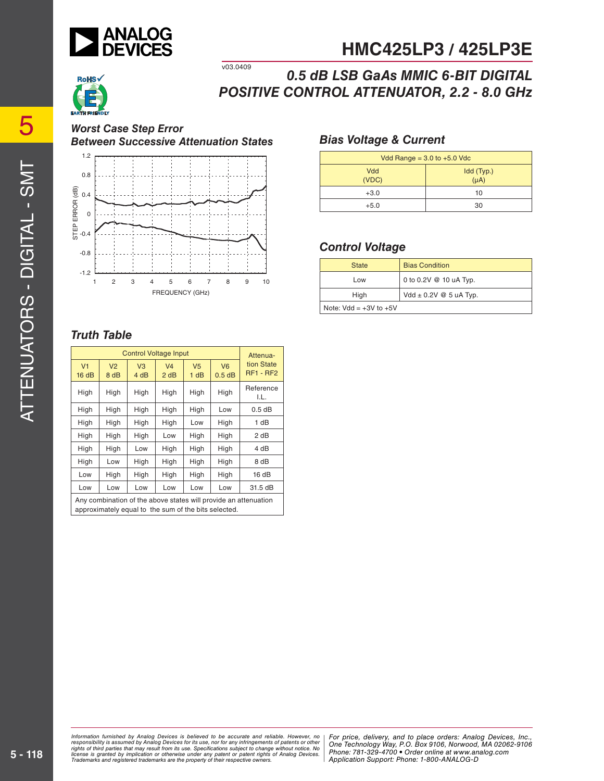



v03.0409 *0.5 dB LSB GaAs MMIC 6-BIT DIGITAL POSITIVE CONTROL ATTENUATOR, 2.2 - 8.0 GHz*

*Worst Case Step Error Between Successive Attenuation States*



#### *Bias Voltage & Current*

| Vdd Range = $3.0$ to $+5.0$ Vdc |                         |  |
|---------------------------------|-------------------------|--|
| Vdd<br>(VDC)                    | Idd (Typ.)<br>$(\mu A)$ |  |
| $+3.0$                          | 10                      |  |
| $+5.0$                          | 30                      |  |

#### *Control Voltage*

| <b>State</b>               | <b>Bias Condition</b>      |
|----------------------------|----------------------------|
| Low                        | 0 to 0.2V @ 10 uA Typ.     |
| High                       | Vdd $\pm$ 0.2V @ 5 uA Typ. |
| Note: $Vdd = +3V$ to $+5V$ |                            |

#### *Truth Table*

| <b>Control Voltage Input</b>                                                                                            |                        |                        |                        |                        | Attenua-                |                                |
|-------------------------------------------------------------------------------------------------------------------------|------------------------|------------------------|------------------------|------------------------|-------------------------|--------------------------------|
| V <sub>1</sub><br>16dB                                                                                                  | V <sub>2</sub><br>8 dB | V <sub>3</sub><br>4 dB | V <sub>4</sub><br>2 dB | V <sub>5</sub><br>1 dB | V <sub>6</sub><br>0.5dB | tion State<br><b>RF1 - RF2</b> |
| High                                                                                                                    | High                   | High                   | High                   | High                   | High                    | Reference<br>I.L.              |
| High                                                                                                                    | High                   | High                   | High                   | High                   | Low                     | $0.5$ dB                       |
| High                                                                                                                    | High                   | High                   | High                   | Low                    | High                    | 1 dB                           |
| High                                                                                                                    | High                   | High                   | Low                    | High                   | High                    | 2 dB                           |
| High                                                                                                                    | High                   | Low                    | High                   | High                   | High                    | 4 dB                           |
| High                                                                                                                    | Low                    | High                   | High                   | High                   | High                    | 8 dB                           |
| Low                                                                                                                     | High                   | High                   | High                   | High                   | High                    | 16dB                           |
| Low                                                                                                                     | Low                    | Low                    | Low                    | Low                    | Low                     | 31.5 dB                        |
| Any combination of the above states will provide an attenuation<br>approximately equal to the sum of the bits selected. |                        |                        |                        |                        |                         |                                |

ed by Analog Devices is believed to be accurate and reliable. However, no [For price, delivery, and to place orders: Analog<br>umed by Analog Devices for its use nor for any infringements of patents or other [One Technologu W at may result from its use. Specifications subject to change without notice. No<br>polication or otherwise under any patent or patent rights of Analog Devices Phone: 781-329-4700 • Order online at www.a spective owners.  $\blacksquare$  Application S Information furnished by Analog Devices is believed to be accurate and reliable. However, no<br>responsibility is assumed by Analog Devices for its use, nor for any infringements of patents or other<br>rights of third parties th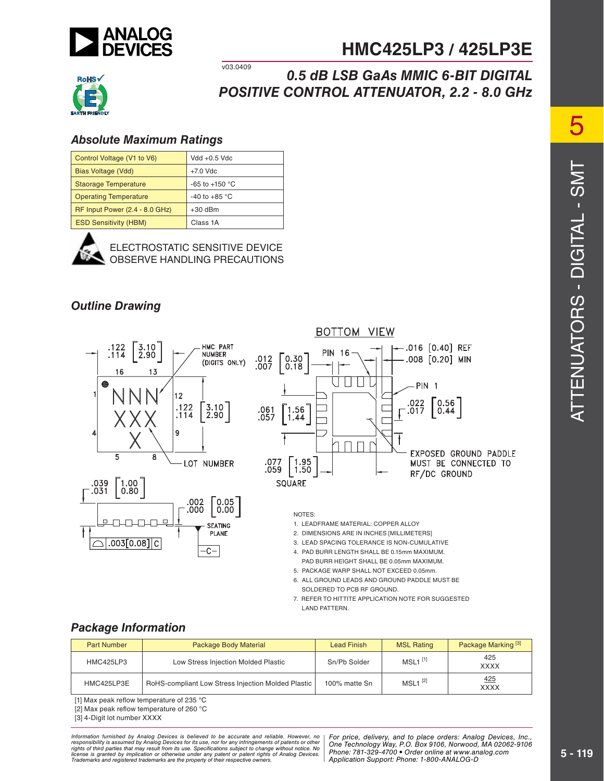



v03.0409 *0.5 dB LSB GaAs MMIC 6-BIT DIGITAL POSITIVE CONTROL ATTENUATOR, 2.2 - 8.0 GHz*

#### *Absolute Maximum Ratings*

| Control Voltage (V1 to V6)     | $Vdd + 0.5$ $Vdc$  |  |
|--------------------------------|--------------------|--|
| Bias Voltage (Vdd)             | $+7.0$ Vdc         |  |
| <b>Staorage Temperature</b>    | $-65$ to $+150$ °C |  |
| <b>Operating Temperature</b>   | $-40$ to $+85$ °C  |  |
| RF Input Power (2.4 - 8.0 GHz) | $+30$ dBm          |  |
| <b>ESD Sensitivity (HBM)</b>   | Class 1A           |  |



ELECTROSTATIC SENSITIVE DEVICE OBSERVE HANDLING PRECAUTIONS

#### *Outline Drawing*





#### NOTES:

1. LEADFRAME MATERIAL: COPPER ALLOY

2. DIMENSIONS ARE IN INCHES [MILLIMETERS]

- 3. LEAD SPACING TOLERANCE IS NON-CUMULATIVE
- 4. PAD BURR LENGTH SHALL BE 0.15mm MAXIMUM.
- PAD BURR HEIGHT SHALL BE 0.05mm MAXIMUM.
- 5. PACKAGE WARP SHALL NOT EXCEED 0.05mm.
- 6. ALL GROUND LEADS AND GROUND PADDLE MUST BE SOLDERED TO PCB RF GROUND.
- 7. REFER TO HITTITE APPLICATION NOTE FOR SUGGESTED LAND PATTERN.

#### *Package Information*

| <b>Part Number</b> | <b>Package Body Material</b>                       | <b>Lead Finish</b> | <b>MSL Rating</b>     | Package Marking <sup>[3]</sup> |
|--------------------|----------------------------------------------------|--------------------|-----------------------|--------------------------------|
| <b>HMC425LP3</b>   | Low Stress Injection Molded Plastic                | Sn/Pb Solder       | $MSL1$ <sup>[1]</sup> | 425<br><b>XXXX</b>             |
| HMC425LP3E         | RoHS-compliant Low Stress Injection Molded Plastic | 100% matte Sn      | $MSL1$ <sup>[2]</sup> | 425<br><b>XXXX</b>             |

[1] Max peak reflow temperature of 235  $^{\circ}$ C

[2] Max peak reflow temperature of 260 °C

[3] 4-Digit lot number XXXX

ed by Analog Devices is believed to be accurate and reliable. However, no [For price, delivery, and to place orders: Analog<br>umed by Analog Devices for its use nor for any infringements of patents or other [One Technologu W at may result from its use. Specifications subject to change without notice. No<br>polication or otherwise under any patent or patent rights of Analog Devices Phone: 781-329-4700 • Order online at www.a spective owners.  $\blacksquare$  Application S Information furnished by Analog Devices is believed to be accurate and reliable. However, no<br>responsibility is assumed by Analog Devices for its use, nor for any infringements of patents or other<br>rights of third parties th

*For price, delivery, and to place orders: Analog Devices, Inc., One Technology Way, P.O. Box 9106, Norwood, MA 02062-9106 Phone: 781-329-4700 • Order online at www.analog.com Application Support: Phone: 1-800-ANALOG-D*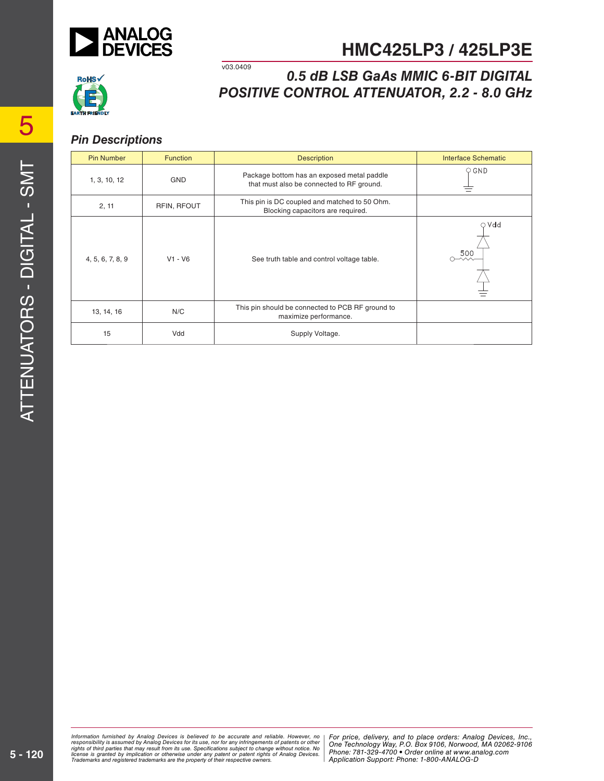



#### v03.0409 *0.5 dB LSB GaAs MMIC 6-BIT DIGITAL POSITIVE CONTROL ATTENUATOR, 2.2 - 8.0 GHz*

#### *Pin Descriptions*

| <b>Pin Number</b> | <b>Function</b> | <b>Description</b>                                                                      | <b>Interface Schematic</b> |
|-------------------|-----------------|-----------------------------------------------------------------------------------------|----------------------------|
| 1, 3, 10, 12      | <b>GND</b>      | Package bottom has an exposed metal paddle<br>that must also be connected to RF ground. | $\circ$ GND                |
| 2, 11             | RFIN, RFOUT     | This pin is DC coupled and matched to 50 Ohm.<br>Blocking capacitors are required.      |                            |
| 4, 5, 6, 7, 8, 9  | $V1 - V6$       | See truth table and control voltage table.                                              | $\circ$ Vdd<br>500         |
| 13, 14, 16        | N/C             | This pin should be connected to PCB RF ground to<br>maximize performance.               |                            |
| 15                | Vdd             | Supply Voltage.                                                                         |                            |

ed by Analog Devices is believed to be accurate and reliable. However, no [For price, delivery, and to place orders: Analog<br>umed by Analog Devices for its use nor for any infringements of patents or other [One Technologu W at may result from its use. Specifications subject to change without notice. No<br>polication or otherwise under any patent or patent rights of Analog Devices Phone: 781-329-4700 • Order online at www.a spective owners.  $\blacksquare$  Application S Information furnished by Analog Devices is believed to be accurate and reliable. However, no<br>responsibility is assumed by Analog Devices for its use, nor for any infringements of patents or other<br>rights of third parties th